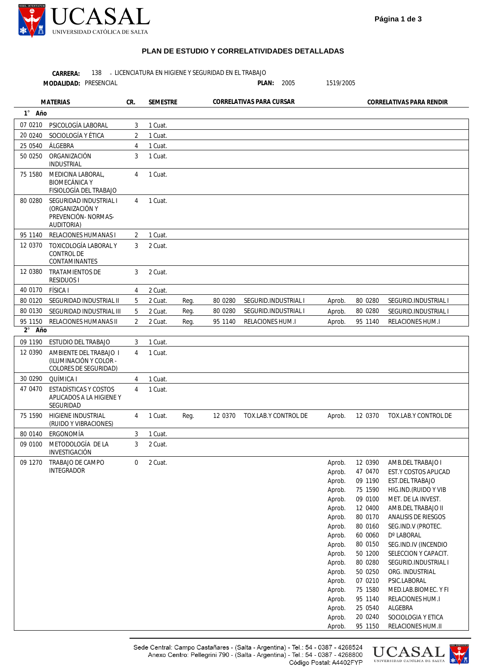

|                   | CARRERA:<br>138                                                                |                |                 |      | LICENCIATURA EN HIGIENE Y SEGURIDAD EN EL TRABAJO |                          |                          |                    |                                              |
|-------------------|--------------------------------------------------------------------------------|----------------|-----------------|------|---------------------------------------------------|--------------------------|--------------------------|--------------------|----------------------------------------------|
|                   | MODALIDAD: PRESENCIAL                                                          |                |                 |      |                                                   | PLAN:<br>2005            | 1519/2005                |                    |                                              |
| <b>MATERIAS</b>   |                                                                                | CR.            | <b>SEMESTRE</b> |      |                                                   | CORRELATIVAS PARA CURSAR | CORRELATIVAS PARA RENDIR |                    |                                              |
| 1° Año            |                                                                                |                |                 |      |                                                   |                          |                          |                    |                                              |
| 07 0210           | PSICOLOGÍA LABORAL                                                             | 3              | 1 Cuat.         |      |                                                   |                          |                          |                    |                                              |
| 20 0240           | SOCIOLOGÍA Y ÉTICA                                                             | 2              | 1 Cuat.         |      |                                                   |                          |                          |                    |                                              |
| 25 0540           | ÁLGEBRA                                                                        | 4              | 1 Cuat.         |      |                                                   |                          |                          |                    |                                              |
| 50 0250           | ORGANIZACIÓN<br>INDUSTRIAL                                                     | 3              | 1 Cuat.         |      |                                                   |                          |                          |                    |                                              |
| 75 1580           | MEDICINA LABORAL,<br><b>BIOMECÁNICA Y</b><br>FISIOLOGÍA DEL TRABAJO            | 4              | 1 Cuat.         |      |                                                   |                          |                          |                    |                                              |
| 80 0280           | SEGURIDAD INDUSTRIAL I<br>(ORGANIZACIÓN Y<br>PREVENCIÓN- NORMAS-<br>AUDITORIA) | $\overline{4}$ | 1 Cuat.         |      |                                                   |                          |                          |                    |                                              |
| 95 1140           | <b>RELACIONES HUMANAS I</b>                                                    | 2              | 1 Cuat.         |      |                                                   |                          |                          |                    |                                              |
| 12 0370           | TOXICOLOGÍA LABORAL Y<br>CONTROL DE<br>CONTAMINANTES                           | 3              | 2 Cuat.         |      |                                                   |                          |                          |                    |                                              |
| 12 0380           | <b>TRATAMIENTOS DE</b><br><b>RESIDUOS I</b>                                    | 3              | 2 Cuat.         |      |                                                   |                          |                          |                    |                                              |
| 40 0170           | FÍSICA I                                                                       | $\overline{4}$ | 2 Cuat.         |      |                                                   |                          |                          |                    |                                              |
| 80 0120           | SEGURIDAD INDUSTRIAL II                                                        | 5              | 2 Cuat.         | Reg. | 80 0280                                           | SEGURID.INDUSTRIAL I     | Aprob.                   | 80 0280            | SEGURID.INDUSTRIAL I                         |
| 80 0130           | SEGURIDAD INDUSTRIAL III                                                       | 5              | 2 Cuat.         | Reg. | 80 0280                                           | SEGURID.INDUSTRIAL I     | Aprob.                   | 80 0280            | SEGURID.INDUSTRIAL I                         |
| 95 1150<br>2° Año | RELACIONES HUMANAS II                                                          | 2              | 2 Cuat.         | Reg. | 95 1140                                           | RELACIONES HUM.I         | Aprob.                   | 95 1140            | RELACIONES HUM.I                             |
| 09 1190           | ESTUDIO DEL TRABAJO                                                            | 3              | 1 Cuat.         |      |                                                   |                          |                          |                    |                                              |
| 12 0390           | AMBIENTE DEL TRABAJO I<br>(ILUMINACIÓN Y COLOR -<br>COLORES DE SEGURIDAD)      | 4              | 1 Cuat.         |      |                                                   |                          |                          |                    |                                              |
| 30 0290           | QUÍMICA I                                                                      | 4              | 1 Cuat.         |      |                                                   |                          |                          |                    |                                              |
| 47 0470           | ESTADÍSTICAS Y COSTOS<br>APLICADOS A LA HIGIENE Y<br>SEGURIDAD                 | 4              | 1 Cuat.         |      |                                                   |                          |                          |                    |                                              |
| 75 1590           | <b>HIGIENE INDUSTRIAL</b><br>(RUIDO Y VIBRACIONES)                             | 4              | 1 Cuat.         | Reg. | 12 0370                                           | TOX.LAB.Y CONTROL DE     | Aprob.                   | 12 0370            | TOX.LAB.Y CONTROL DE                         |
| 80 0140           | ERGONOMÍA                                                                      | 3              | 1 Cuat.         |      |                                                   |                          |                          |                    |                                              |
| 09 0100           | METODOLOGÍA DE LA<br>INVESTIGACIÓN                                             | 3              | 2 Cuat.         |      |                                                   |                          |                          |                    |                                              |
| 09 1270           | TRABAJO DE CAMPO<br><b>INTEGRADOR</b>                                          | 0              | 2 Cuat.         |      |                                                   |                          | Aprob.<br>Aprob.         | 12 0390<br>47 0470 | AMB.DEL TRABAJO I<br>EST.Y COSTOS APLICAD    |
|                   |                                                                                |                |                 |      |                                                   |                          | Aprob.                   | 09 1190            | <b>EST.DEL TRABAJO</b>                       |
|                   |                                                                                |                |                 |      |                                                   |                          | Aprob.                   | 75 1590            | HIG.IND.(RUIDO Y VIB                         |
|                   |                                                                                |                |                 |      |                                                   |                          | Aprob.                   | 09 0100            | MET. DE LA INVEST.                           |
|                   |                                                                                |                |                 |      |                                                   |                          | Aprob.                   | 12 0400            | AMB.DEL TRABAJO II                           |
|                   |                                                                                |                |                 |      |                                                   |                          | Aprob.                   | 80 0170            | ANALISIS DE RIESGOS                          |
|                   |                                                                                |                |                 |      |                                                   |                          | Aprob.                   | 80 0160            | SEG.IND.V (PROTEC.                           |
|                   |                                                                                |                |                 |      |                                                   |                          | Aprob.                   | 60 0060            | D° LABORAL                                   |
|                   |                                                                                |                |                 |      |                                                   |                          | Aprob.                   | 80 0150            | SEG.IND.IV (INCENDIO                         |
|                   |                                                                                |                |                 |      |                                                   |                          | Aprob.<br>Aprob.         | 50 1200<br>80 0280 | SELECCION Y CAPACIT.<br>SEGURID.INDUSTRIAL I |
|                   |                                                                                |                |                 |      |                                                   |                          | Aprob.                   | 50 0250            | ORG. INDUSTRIAL                              |
|                   |                                                                                |                |                 |      |                                                   |                          | Aprob.                   | 07 0210            | PSIC.LABORAL                                 |
|                   |                                                                                |                |                 |      |                                                   |                          | Aprob.                   | 75 1580            | MED.LAB.BIOMEC. Y FI                         |
|                   |                                                                                |                |                 |      |                                                   |                          | Aprob.                   | 95 1140            | RELACIONES HUM.I                             |
|                   |                                                                                |                |                 |      |                                                   |                          | Aprob.                   | 25 0540            | ALGEBRA                                      |
|                   |                                                                                |                |                 |      |                                                   |                          | Aprob.                   | 20 0240            | SOCIOLOGIA Y ETICA                           |
|                   |                                                                                |                |                 |      |                                                   |                          | Aprob.                   | 95 1150            | RELACIONES HUM.II                            |



**Página 1 de 3**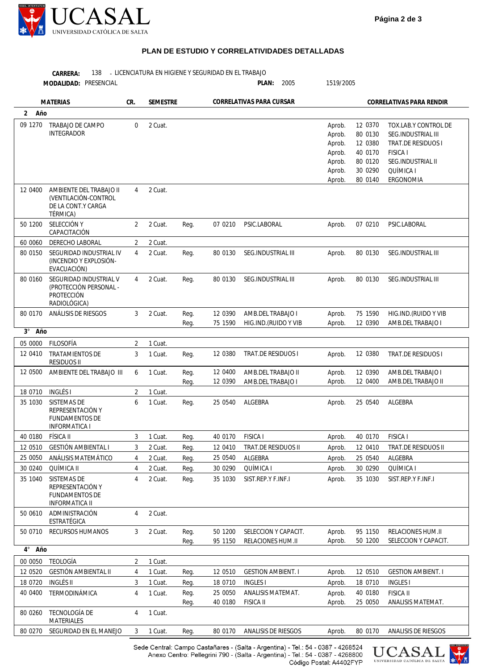

## **PLAN DE ESTUDIO Y CORRELATIVIDADES DETALLADAS**

|                     | CARRERA:<br>138<br>MODALIDAD: PRESENCIAL                                                | LICENCIATURA EN HIGIENE Y SEGURIDAD EN EL TRABAJO |                 |              |                          | PLAN:<br>2005                             | 1519/2005                                                          |                                                                           |                                                                                                                                    |
|---------------------|-----------------------------------------------------------------------------------------|---------------------------------------------------|-----------------|--------------|--------------------------|-------------------------------------------|--------------------------------------------------------------------|---------------------------------------------------------------------------|------------------------------------------------------------------------------------------------------------------------------------|
| <b>MATERIAS</b>     |                                                                                         | CR.                                               | <b>SEMESTRE</b> |              | CORRELATIVAS PARA CURSAR |                                           | CORRELATIVAS PARA RENDIR                                           |                                                                           |                                                                                                                                    |
| $\mathbf{2}$<br>Año |                                                                                         |                                                   |                 |              |                          |                                           |                                                                    |                                                                           |                                                                                                                                    |
| 09 1270             | TRABAJO DE CAMPO<br><b>INTEGRADOR</b>                                                   | $\mathbf 0$                                       | 2 Cuat.         |              |                          |                                           | Aprob.<br>Aprob.<br>Aprob.<br>Aprob.<br>Aprob.<br>Aprob.<br>Aprob. | 12 0370<br>80 0130<br>12 0380<br>40 0170<br>80 0120<br>30 0290<br>80 0140 | TOX.LAB.Y CONTROL DE<br>SEG.INDUSTRIAL III<br>TRAT.DE RESIDUOS I<br><b>FISICA I</b><br>SEG.INDUSTRIAL II<br>QUÍMICA I<br>ERGONOMIA |
| 12 0400             | AMBIENTE DEL TRABAJO II<br>(VENTILACIÓN-CONTROL<br>DE LA CONT.Y CARGA<br>TÉRMICA)       | 4                                                 | 2 Cuat.         |              |                          |                                           |                                                                    |                                                                           |                                                                                                                                    |
| 50 1200             | SELECCIÓN Y<br>CAPACITACIÓN                                                             | 2                                                 | 2 Cuat.         | Reg.         | 07 0210                  | PSIC.LABORAL                              | Aprob.                                                             | 07 0210                                                                   | PSIC.LABORAL                                                                                                                       |
| 60 0060             | <b>DERECHO LABORAL</b>                                                                  | 2                                                 | 2 Cuat.         |              |                          |                                           |                                                                    |                                                                           |                                                                                                                                    |
| 80 0150             | SEGURIDAD INDUSTRIAL IV<br>(INCENDIO Y EXPLOSIÓN-<br>EVACUACIÓN)                        | 4                                                 | 2 Cuat.         | Reg.         | 80 0130                  | SEG.INDUSTRIAL III                        | Aprob.                                                             | 80 0130                                                                   | <b>SEG.INDUSTRIAL III</b>                                                                                                          |
| 80 0160             | SEGURIDAD INDUSTRIAL V<br>(PROTECCIÓN PERSONAL -<br>PROTECCIÓN<br>RADIOLÓGICA)          | 4                                                 | 2 Cuat.         | Req.         | 80 0130                  | SEG.INDUSTRIAL III                        | Aprob.                                                             | 80 0130                                                                   | <b>SEG.INDUSTRIAL III</b>                                                                                                          |
| 80 0170             | ANÁLISIS DE RIESGOS                                                                     | 3                                                 | 2 Cuat.         | Reg.<br>Reg. | 12 0390<br>75 1590       | AMB.DEL TRABAJO I<br>HIG.IND.(RUIDO Y VIB | Aprob.<br>Aprob.                                                   | 75 1590<br>12 0390                                                        | HIG.IND.(RUIDO Y VIB<br>AMB.DEL TRABAJO I                                                                                          |
| Año<br>$3^{\circ}$  |                                                                                         |                                                   |                 |              |                          |                                           |                                                                    |                                                                           |                                                                                                                                    |
| 05 0000             | FILOSOFÍA                                                                               | 2                                                 | 1 Cuat.         |              |                          |                                           |                                                                    |                                                                           |                                                                                                                                    |
| 12 0410             | <b>TRATAMIENTOS DE</b><br><b>RESIDUOS II</b>                                            | 3                                                 | 1 Cuat.         | Reg.         | 12 0380                  | TRAT.DE RESIDUOS I                        | Aprob.                                                             | 12 0380                                                                   | TRAT.DE RESIDUOS I                                                                                                                 |
| 12 0500             | AMBIENTE DEL TRABAJO III                                                                | 6                                                 | 1 Cuat.         | Reg.<br>Reg. | 12 0400<br>12 0390       | AMB.DEL TRABAJO II<br>AMB.DEL TRABAJO I   | Aprob.<br>Aprob.                                                   | 12 0390<br>12 0400                                                        | AMB.DEL TRABAJO I<br>AMB.DEL TRABAJO II                                                                                            |
| 18 0710             | <b>INGLÉS I</b>                                                                         | 2                                                 | 1 Cuat.         |              |                          |                                           |                                                                    |                                                                           |                                                                                                                                    |
| 35 1030             | <b>SISTEMAS DE</b><br>REPRESENTACIÓN Y<br><b>FUNDAMENTOS DE</b><br><b>INFORMATICA I</b> | 6                                                 | 1 Cuat.         | Reg.         | 25 0540                  | ALGEBRA                                   | Aprob.                                                             | 25 0540                                                                   | ALGEBRA                                                                                                                            |
| 40 0180             | FÍSICA II                                                                               | 3                                                 | 1 Cuat.         | Reg.         | 40 0170                  | <b>FISICA I</b>                           | Aprob.                                                             | 40 0170                                                                   | <b>FISICA I</b>                                                                                                                    |
| 12 0510             | GESTIÓN AMBIENTAL I                                                                     | 3                                                 | 2 Cuat.         | Reg.         | 12 04 10                 | TRAT.DE RESIDUOS II                       | Aprob.                                                             | 12 0410                                                                   | TRAT.DE RESIDUOS II                                                                                                                |
| 25 0050             | ANÁLISIS MATEMÁTICO                                                                     | 4                                                 | 2 Cuat.         | Reg.         | 25 0540                  | ALGEBRA                                   | Aprob.                                                             | 25 0540                                                                   | ALGEBRA                                                                                                                            |
| 30 0240             | QUÍMICA II                                                                              | $\overline{4}$                                    | 2 Cuat.         | Reg.         | 30 0290                  | QUÍMICA I                                 | Aprob.                                                             | 30 0290                                                                   | QUÍMICA I                                                                                                                          |
| 35 1040             | SISTEMAS DE<br>REPRESENTACIÓN Y<br><b>FUNDAMENTOS DE</b><br><b>INFORMATICA II</b>       | 4                                                 | 2 Cuat.         | Req.         | 35 1030                  | SIST.REP.Y F.INF.I                        | Aprob.                                                             | 35 1030                                                                   | SIST.REP.Y F.INF.I                                                                                                                 |
| 50 0610             | ADMINISTRACIÓN<br>ESTRATÉGICA                                                           | 4                                                 | 2 Cuat.         |              |                          |                                           |                                                                    |                                                                           |                                                                                                                                    |
| 50 0710             | <b>RECURSOS HUMANOS</b>                                                                 | 3                                                 | 2 Cuat.         | Reg.<br>Reg. | 50 1200<br>95 1150       | SELECCION Y CAPACIT.<br>RELACIONES HUM.II | Aprob.<br>Aprob.                                                   | 95 1150<br>50 1200                                                        | RELACIONES HUM.II<br>SELECCION Y CAPACIT.                                                                                          |
| $4^{\circ}$<br>Año  |                                                                                         |                                                   |                 |              |                          |                                           |                                                                    |                                                                           |                                                                                                                                    |
| 00 0050             | <b>TEOLOGÍA</b>                                                                         | 2                                                 | 1 Cuat.         |              |                          |                                           |                                                                    |                                                                           |                                                                                                                                    |
| 12 0520             | GESTIÓN AMBIENTAL II                                                                    | 4                                                 | 1 Cuat.         | Req.         | 12 0510                  | <b>GESTION AMBIENT. I</b>                 | Aprob.                                                             | 12 0510                                                                   | <b>GESTION AMBIENT. I</b>                                                                                                          |
| 18 07 20            | <b>INGLÉS II</b>                                                                        | 3                                                 | 1 Cuat.         | Reg.         | 18 0710                  | <b>INGLES I</b>                           | Aprob.                                                             | 18 0710                                                                   | <b>INGLES</b>                                                                                                                      |
| 40 0400             | TERMODINÁMICA                                                                           | 4                                                 | 1 Cuat.         | Reg.<br>Reg. | 25 0050<br>40 0180       | ANALISIS MATEMAT.<br><b>FISICA II</b>     | Aprob.<br>Aprob.                                                   | 40 0180<br>25 0050                                                        | <b>FISICA II</b><br>ANALISIS MATEMAT.                                                                                              |
| 80 0260             | TECNOLOGÍA DE<br>MATERIALES                                                             | $\overline{4}$                                    | 1 Cuat.         |              |                          |                                           |                                                                    |                                                                           |                                                                                                                                    |
| 80 0270             | SEGURIDAD EN EL MANEJO                                                                  | 3                                                 | 1 Cuat.         | Reg.         | 80 0170                  | ANALISIS DE RIESGOS                       | Aprob.                                                             | 80 0170                                                                   | ANALISIS DE RIESGOS                                                                                                                |

Sede Central: Campo Castañares - (Salta - Argentina) - Tel.: 54 - 0387 - 4268524<br>Anexo Centro: Pellegrini 790 - (Salta - Argentina) - Tel.: 54 - 0387 - 4268800 Código Postal: A4402FYP